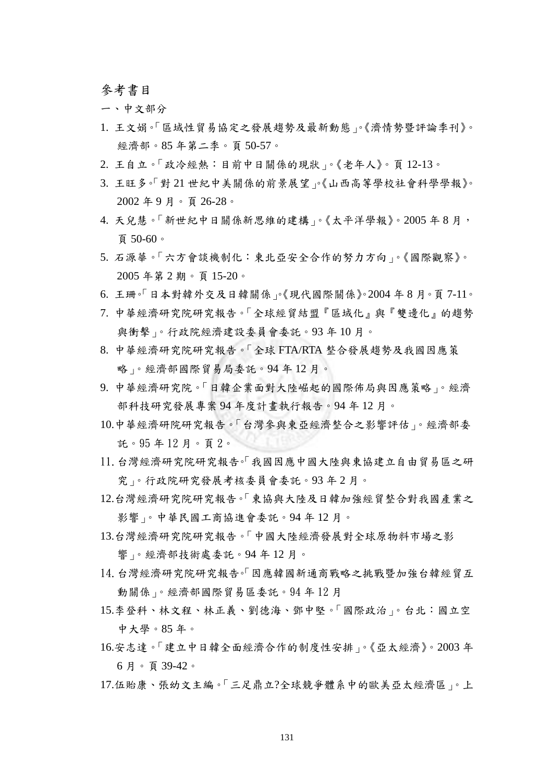參考書目

一、中文部分

- 1. 王文娟。「區域性貿易協定之發展趨勢及最新動態」。《濟情勢暨評論季刊》。 經濟部。85 年第二季。頁 50-57。
- 2. 王自立。「政冷經熱:目前中日關係的現狀」。《老年人》。頁 12-13。
- 3. 王旺多。「對 21 世紀中美關係的前景展望」。《山西高等學校社會科學學報》。 2002 年 9 月。頁 26-28。
- 4. 天兒慧。「新世紀中日關係新思維的建構」。《太平洋學報》。2005 年 8 月, 頁 50-60。
- 5. 石源華。「六方會談機制化:東北亞安全合作的努力方向」。《國際觀察》。 2005 年第 2 期。頁 15-20。
- 6. 王珊。「日本對韓外交及日韓關係」。《現代國際關係》。2004 年 8 月。頁 7-11。
- 7. 中華經濟研究院研究報告。「全球經貿結盟『區域化』與『雙邊化』的趨勢 與衝擊」。行政院經濟建設委員會委託。93 年 10 月。
- 8. 中華經濟研究院研究報告。「全球 FTA/RTA 整合發展趨勢及我國因應策 略」。經濟部國際貿易局委託。94 年 12 月。
- 9. 中華經濟研究院。「日韓企業面對大陸崛起的國際佈局與因應策略」。經濟 部科技研究發展專案 94 年度計畫執行報告。94 年 12 月。
- 10.中華經濟研院研究報告。「台灣參與東亞經濟整合之影響評估」。經濟部委 託。95 年 12 月。頁 2。
- 11.台灣經濟研究院研究報告。「我國因應中國大陸與東協建立自由貿易區之研 究」。行政院研究發展考核委員會委託。93 年 2 月。
- 12.台灣經濟研究院研究報告。「東協與大陸及日韓加強經貿整合對我國產業之 影響」。中華民國工商協進會委託。94 年 12 月。
- 13.台灣經濟研究院研究報告。「中國大陸經濟發展對全球原物料市場之影 響」。經濟部技術處委託。94 年 12 月。
- 14.台灣經濟研究院研究報告。「因應韓國新通商戰略之挑戰暨加強台韓經貿互 動關係」。經濟部國際貿易區委託。94 年 12 月
- 15.李登科、林文程、林正義、劉德海、鄧中堅。「國際政治」。台北:國立空 中大學。85 年。
- 16.安志達。「建立中日韓全面經濟合作的制度性安排」。《亞太經濟》。2003 年 6 月。頁 39-42。
- 17.伍貽康、張幼文主編。「三足鼎立?全球競爭體系中的歐美亞太經濟區」。上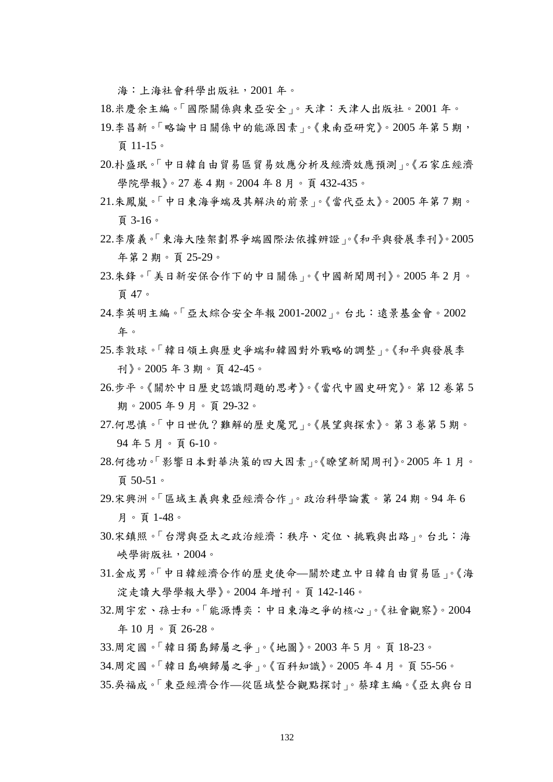海:上海社會科學出版社,2001 年。

- 18.米慶余主編。「國際關係與東亞安全」。天津:天津人出版社。2001 年。
- 19.李昌新。「略論中日關係中的能源因素」。《東南亞研究》。2005 年第 5 期, 頁 11-15。
- 20.朴盛珉。「中日韓自由貿易區貿易效應分析及經濟效應預測」。《石家庄經濟 學院學報》。27 卷 4 期。2004 年 8 月。頁 432-435。
- 21.朱鳳嵐。「中日東海爭端及其解決的前景」。《當代亞太》。2005 年第 7 期。 頁 3-16。
- 22.李廣義。「東海大陸架劃界爭端國際法依據辨證」。《和平與發展季刊》。2005 年第 2 期。頁 25-29。
- 23.朱鋒。「美日新安保合作下的中日關係」。《中國新聞周刊》。2005 年 2 月。 頁 47。
- 24.李英明主編。「亞太綜合安全年報 2001-2002」。台北:遠景基金會。2002 年。
- 25.李敦球。「韓日領土與歷史爭端和韓國對外戰略的調整」。《和平與發展季 刊》。2005 年 3 期。頁 42-45。
- 26.步平。《關於中日歷史認識問題的思考》。《當代中國史研究》。第 12 卷第 5 期。2005 年 9 月。頁 29-32。
- 27.何思慎。「中日世仇?難解的歷史魔咒」。《展望與探索》。第 3 卷第 5 期。 94 年 5 月。頁 6-10。
- 28.何德功。「影響日本對華決策的四大因素」。《瞭望新聞周刊》。2005 年 1 月。 頁 50-51。
- 29.宋興洲。「區域主義與東亞經濟合作」。政治科學論叢。第 24 期。94 年 6 月。頁 1-48。
- 30.宋鎮照。「台灣與亞太之政治經濟:秩序、定位、挑戰與出路」。台北:海 峽學術版社,2004。
- 31.金成男。「中日韓經濟合作的歷史使命—關於建立中日韓自由貿易區」。《海 淀走讀大學學報大學》。2004 年增刊。頁 142-146。
- 32.周宇宏、孫士和。「能源博奕:中日東海之爭的核心」。《社會觀察》。2004 年 10 月。頁 26-28。
- 33.周定國。「韓日獨島歸屬之爭」。《地圖》。2003 年 5 月。頁 18-23。
- 34.周定國。「韓日島嶼歸屬之爭」。《百科知識》。2005 年 4 月。頁 55-56。
- 35.吳福成。「東亞經濟合作—從區域整合觀點探討」。蔡瑋主編。《亞太與台日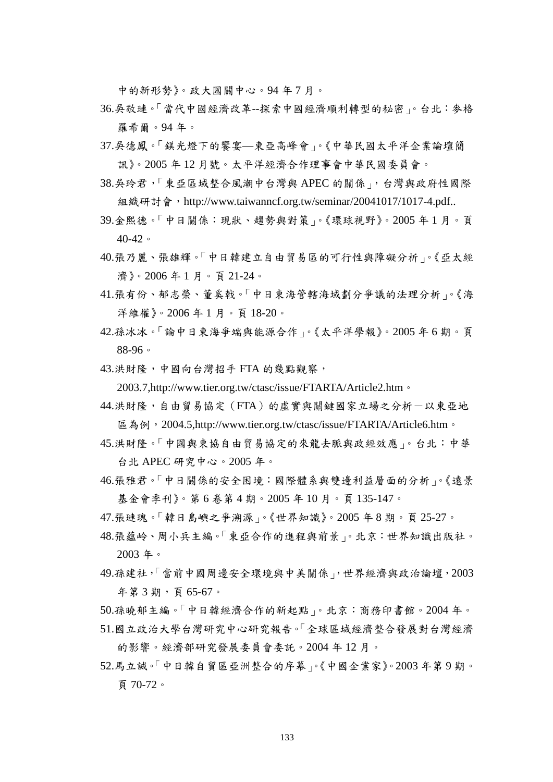中的新形勢》。政大國關中心。94 年 7 月。

- 36.吳敬璉。「當代中國經濟改革--探索中國經濟順利轉型的秘密」。台北:麥格 羅希爾。94 年。
- 37.吳德鳳。「鎂光燈下的饗宴—東亞高峰會」。《中華民國太平洋企業論壇簡 訊》。2005 年 12 月號。太平洋經濟合作理事會中華民國委員會。
- 38.吳玲君,「東亞區域整合風潮中台灣與 APEC 的關係」,台灣與政府性國際 組織研討會, http://www.taiwanncf.org.tw/seminar/20041017/1017-4.pdf..
- 39.金熙德。「中日關係:現狀、趨勢與對策」。《環球視野》。2005 年 1 月。頁 40-42。
- 40.張乃麗、張雄輝。「中日韓建立自由貿易區的可行性與障礙分析」。《亞太經 濟》。2006 年 1 月。頁 21-24。
- 41.張有份、郁志榮、董奚戟。「中日東海管轄海域劃分爭議的法理分析」。《海 洋維權》。2006 年 1 月。頁 18-20。
- 42.孫冰冰。「論中日東海爭端與能源合作」。《太平洋學報》。2005 年 6 期。頁 88-96。
- 43.洪財隆,中國向台灣招手 FTA 的幾點觀察,

2003.7,http://www.tier.org.tw/ctasc/issue/FTARTA/Article2.htm。

- 44.洪財隆,自由貿易協定(FTA)的虛實與關鍵國家立場之分析一以東亞地 區為例, 2004.5,http://www.tier.org.tw/ctasc/issue/FTARTA/Article6.htm。
- 45.洪財隆。「中國與東協自由貿易協定的來龍去脈與政經效應」。台北:中華 台北 APEC 研究中心。2005 年。
- 46.張雅君。「中日關係的安全困境:國際體系與雙邊利益層面的分析」。《遠景 基金會季刊》。第 6 卷第 4 期。2005 年 10 月。頁 135-147。
- 47.張璉瑰。「韓日島嶼之爭溯源」。《世界知識》。2005 年 8 期。頁 25-27。
- 48.張蘊岭、周小兵主編。「東亞合作的進程與前景」。北京:世界知識出版社。 2003 年。
- 49.孫建社,「當前中國周邊安全環境與中美關係」,世界經濟與政治論壇,2003 年第 3 期,頁 65-67。
- 50.孫曉郁主編。「中日韓經濟合作的新起點」。北京:商務印書館。2004 年。
- 51.國立政治大學台灣研究中心研究報告。「全球區域經濟整合發展對台灣經濟 的影響。經濟部研究發展委員會委託。2004 年 12 月。
- 52.馬立誠。「中日韓自貿區亞洲整合的序幕」。《中國企業家》。2003 年第 9 期。 頁 70-72。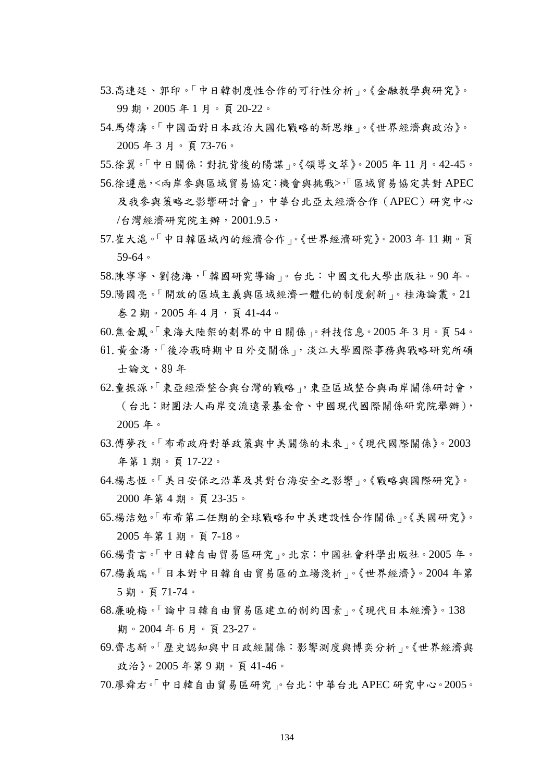- 53.高連廷、郭印。「中日韓制度性合作的可行性分析」。《金融教學與研究》。 99 期,2005 年 1 月。頁 20-22。
- 54.馬傳濤。「中國面對日本政治大國化戰略的新思維」。《世界經濟與政治》。 2005 年 3 月。頁 73-76。
- 55.徐翼。「中日關係:對抗背後的陽謀」。《領導文萃》。2005 年 11 月。42-45。 56.徐遵慈,<兩岸參與區域貿易協定:機會與挑戰>,「區域貿易協定其對 APEC
- 及我參與策略之影響研討會」,中華台北亞太經濟合作(APEC)研究中心 /台灣經濟研究院主辦,2001.9.5,
- 57.崔大滬。「中日韓區域內的經濟合作」。《世界經濟研究》。2003 年 11 期。頁 59-64。
- 58.陳寧寧、劉德海,「韓國研究導論」。台北:中國文化大學出版社。90 年。
- 59.陽國亮。「開放的區域主義與區域經濟一體化的制度創新」。桂海論叢。21 巻 2 期。2005 年 4 月,頁 41-44。
- 60.焦金鳳。「東海大陸架的劃界的中日關係」。科技信息。2005 年 3 月。頁 54。
- 61.黃金湯,「後冷戰時期中日外交關係」,淡江大學國際事務與戰略研究所碩 士論文,89 年
- 62.童振源,「東亞經濟整合與台灣的戰略」,東亞區域整合與兩岸關係研討會, (台北:財團法人兩岸交流遠景基金會、中國現代國際關係研究院舉辦), 2005 年。
- 63.傅夢孜。「布希政府對華政策與中美關係的未來」。《現代國際關係》。2003 年第 1 期。頁 17-22。
- 64.楊志恆。「美日安保之沿革及其對台海安全之影響」。《戰略與國際研究》。 2000 年第 4 期。頁 23-35。
- 65.楊洁勉。「布希第二任期的全球戰略和中美建設性合作關係」。《美國研究》。 2005 年第 1 期。頁 7-18。
- 66.楊貴言。「中日韓自由貿易區研究」。北京:中國社會科學出版社。2005 年。
- 67.楊義瑞。「日本對中日韓自由貿易區的立場淺析」。《世界經濟》。2004 年第 5 期。頁 71-74。
- 68.廉曉梅。「論中日韓自由貿易區建立的制約因素」。《現代日本經濟》。138 期。2004 年 6 月。頁 23-27。
- 69.齊志新。「歷史認知與中日政經關係:影響測度與博奕分析」。《世界經濟與 政治》。2005 年第 9 期。頁 41-46。
- 70.廖舜右。「中日韓自由貿易區研究」。台北:中華台北 APEC 研究中心。2005。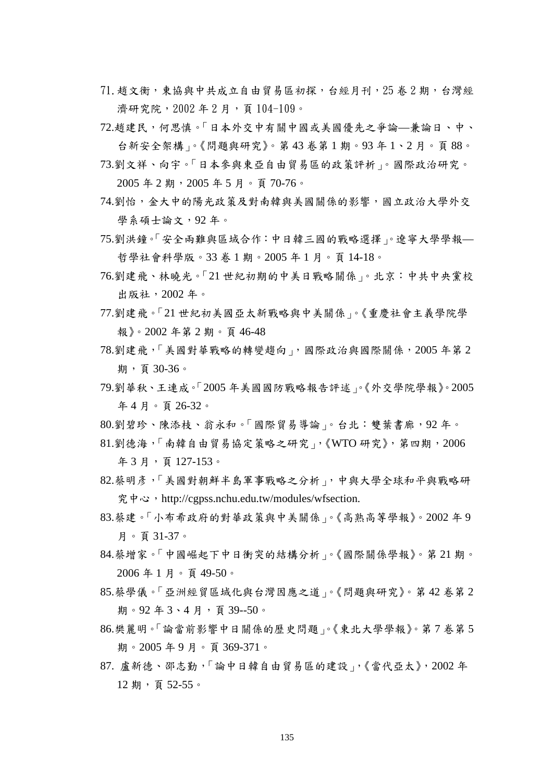- 71.趙文衡,東協與中共成立自由貿易區初探,台經月刊,25 卷 2 期,台灣經 濟研究院, 2002年2月, 頁104-109。
- 72.趙建民,何思慎。「日本外交中有關中國或美國優先之爭論—兼論日、中、 台新安全架構」。《問題與研究》。第 43 卷第 1 期。93 年 1、2 月。頁 88。
- 73.劉文祥、向宇。「日本參與東亞自由貿易區的政策評析」。國際政治研究。 2005 年 2 期,2005 年 5 月。頁 70-76。
- 74.劉怡,金大中的陽光政策及對南韓與美國關係的影響,國立政治大學外交 學系碩士論文,92 年。
- 75.劉洪鐘。「安全兩難與區域合作:中日韓三國的戰略選擇」。遼寧大學學報— 哲學社會科學版。33 卷 1 期。2005 年 1 月。頁 14-18。
- 76.劉建飛、林曉光。「21 世紀初期的中美日戰略關係」。北京:中共中央黨校 出版社,2002 年。
- 77.劉建飛。「21 世紀初美國亞太新戰略與中美關係」。《重慶社會主義學院學 報》。2002 年第 2 期。頁 46-48
- 78.劉建飛,「美國對華戰略的轉變趨向」,國際政治與國際關係,2005 年第 2 期,頁 30-36。
- 79.劉華秋、王連成。「2005 年美國國防戰略報告評述」。《外交學院學報》。2005 年 4 月。頁 26-32。
- 80.劉碧珍、陳添枝、翁永和。「國際貿易導論」。台北:雙葉書廊,92 年。
- 81.劉德海,「南韓自由貿易協定策略之研究」,《WTO 研究》,第四期,2006 年 3 月,頁 127-153。
- 82.蔡明彥,「美國對朝鮮半島軍事戰略之分析」,中與大學全球和平與戰略研  $\mathcal{R}$  中心, [http://cgpss.nchu.edu.tw/modules/wfsection.](http://cgpss.nchu.edu.tw/modules/wfsection)
- 83.蔡建。「小布希政府的對華政策與中美關係」。《高熟高等學報》。2002 年 9 月。頁 31-37。
- 84.蔡增家。「中國崛起下中日衝突的結構分析」。《國際關係學報》。第 21 期。 2006 年 1 月。頁 49-50。
- 85.蔡學儀。「亞洲經貿區域化與台灣因應之道」。《問題與研究》。第 42 卷第 2 期。92年3、4月,頁39--50。
- 86.樊麗明。「論當前影響中日關係的歷史問題」。《東北大學學報》。第 7 卷第 5 期。2005 年 9 月。頁 369-371。
- 87. 盧新德、邵志勤,「論中日韓自由貿易區的建設」,《當代亞太》,2002 年 12 期,頁 52-55。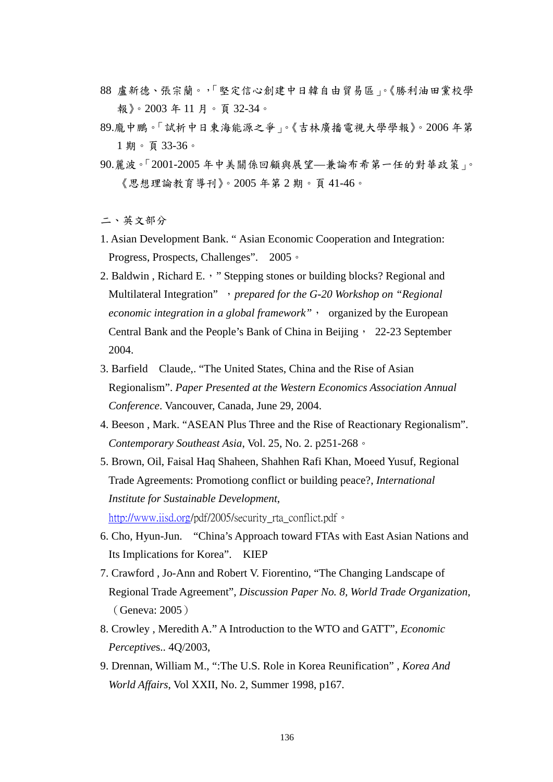- 88 盧新德、張宗蘭。,「堅定信心創建中日韓自由貿易區」。《勝利油田黨校學 報》。2003 年 11 月。頁 32-34。
- 89.龐中鵬。「試析中日東海能源之爭」。《吉林廣播電視大學學報》。2006 年第 1 期。頁 33-36。
- 90.麗波。「2001-2005 年中美關係回顧與展望—兼論布希第一任的對華政策」。 《思想理論教育導刊》。2005 年第 2 期。頁 41-46。

二、英文部分

- 1. Asian Development Bank. " Asian Economic Cooperation and Integration: Progress, Prospects, Challenges". 2005。
- 2. Baldwin, Richard E., "Stepping stones or building blocks? Regional and Multilateral Integration" ,*prepared for the G-20 Workshop on "Regional economic integration in a global framework*", organized by the European Central Bank and the People's Bank of China in Beijing, 22-23 September 2004.
- 3. Barfield Claude,. "The United States, China and the Rise of Asian Regionalism". *Paper Presented at the Western Economics Association Annual Conference*. Vancouver, Canada, June 29, 2004.
- 4. Beeson , Mark. "ASEAN Plus Three and the Rise of Reactionary Regionalism". *Contemporary Southeast Asia*, Vol. 25, No. 2. p251-268。
- 5. Brown, Oil, Faisal Haq Shaheen, Shahhen Rafi Khan, Moeed Yusuf, Regional Trade Agreements: Promotiong conflict or building peace?, *International Institute for Sustainable Development*,

[http://www.iisd.org](http://www.iisd.org/)/pdf/2005/security rta\_conflict.pdf。

- 6. Cho, Hyun-Jun. "China's Approach toward FTAs with East Asian Nations and Its Implications for Korea". KIEP
- 7. Crawford , Jo-Ann and Robert V. Fiorentino, "The Changing Landscape of Regional Trade Agreement", *Discussion Paper No. 8, World Trade Organization*, (Geneva: 2005)
- 8. Crowley , Meredith A." A Introduction to the WTO and GATT", *Economic Perceptive*s.. 4Q/2003,
- 9. Drennan, William M., ":The U.S. Role in Korea Reunification" , *Korea And World Affairs*, Vol XXII, No. 2, Summer 1998, p167.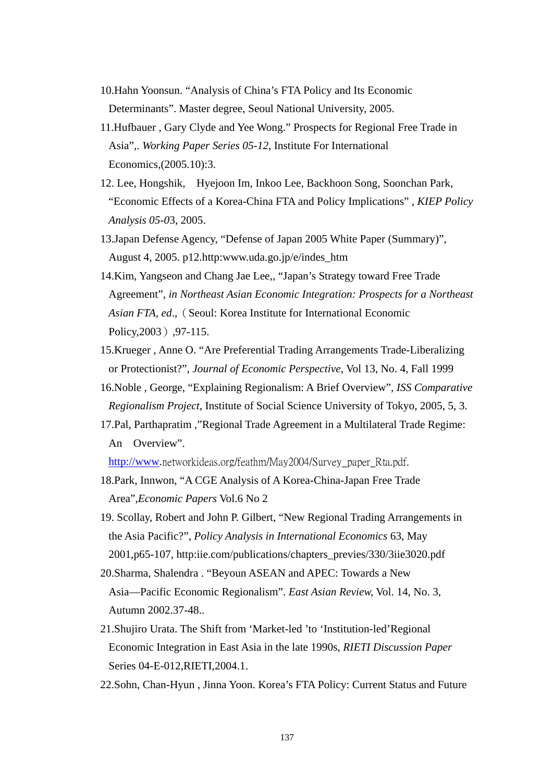- 10.Hahn Yoonsun. "Analysis of China's FTA Policy and Its Economic Determinants". Master degree, Seoul National University, 2005.
- 11.Hufbauer , Gary Clyde and Yee Wong." Prospects for Regional Free Trade in Asia",. *Working Paper Series 05-12*, Institute For International Economics,(2005.10):3.
- 12. Lee, Hongshik, Hyejoon Im, Inkoo Lee, Backhoon Song, Soonchan Park, "Economic Effects of a Korea-China FTA and Policy Implications" , *KIEP Policy Analysis 05-0*3, 2005.
- 13.Japan Defense Agency, "Defense of Japan 2005 White Paper (Summary)", August 4, 2005. p12.http:www.uda.go.jp/e/indes\_htm
- 14.Kim, Yangseon and Chang Jae Lee,, "Japan's Strategy toward Free Trade Agreement", *in Northeast Asian Economic Integration: Prospects for a Northeast Asian FTA, ed.,* (Seoul: Korea Institute for International Economic Policy, 2003), 97-115.
- 15.Krueger , Anne O. "Are Preferential Trading Arrangements Trade-Liberalizing or Protectionist?", *Journal of Economic Perspective*, Vol 13, No. 4, Fall 1999
- 16.Noble , George, "Explaining Regionalism: A Brief Overview", *ISS Comparative Regionalism Project*, Institute of Social Science University of Tokyo, 2005, 5, 3.
- 17.Pal, Parthapratim ,"Regional Trade Agreement in a Multilateral Trade Regime: An Overview".

[http://www.](http://www/)networkideas.org/feathm/May2004/Survey\_paper\_Rta.pdf.

- 18.Park, Innwon, "A CGE Analysis of A Korea-China-Japan Free Trade Area",*Economic Papers* Vol.6 No 2
- 19. Scollay, Robert and John P. Gilbert, "New Regional Trading Arrangements in the Asia Pacific?", *Policy Analysis in International Economics* 63, May 2001,p65-107, http:iie.com/publications/chapters\_previes/330/3iie3020.pdf
- 20.Sharma, Shalendra . "Beyoun ASEAN and APEC: Towards a New Asia—Pacific Economic Regionalism". *East Asian Review,* Vol. 14, No. 3, Autumn 2002.37-48..
- 21.Shujiro Urata. The Shift from 'Market-led 'to 'Institution-led'Regional Economic Integration in East Asia in the late 1990s, *RIETI Discussion Paper* Series 04-E-012,RIETI,2004.1.
- 22.Sohn, Chan-Hyun , Jinna Yoon. Korea's FTA Policy: Current Status and Future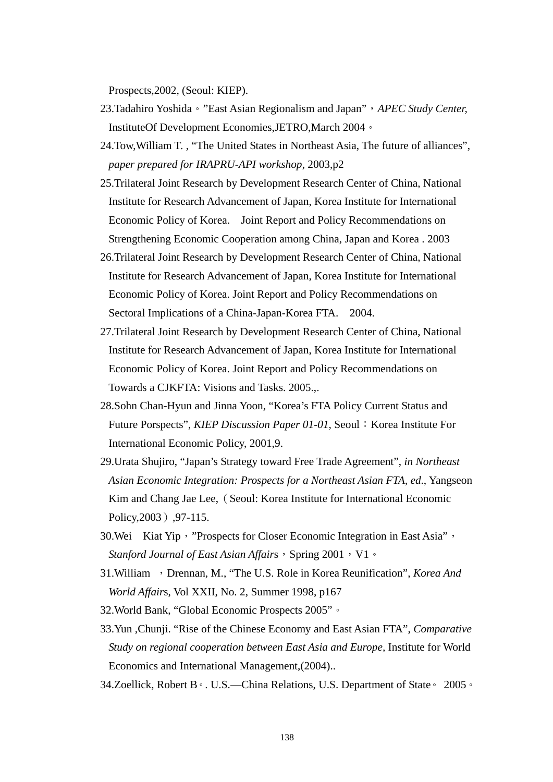Prospects,2002, (Seoul: KIEP).

- 23.Tadahiro Yoshida。"East Asian Regionalism and Japan",*APEC Study Center,* InstituteOf Development Economies,JETRO,March 2004。
- 24.Tow,William T. , "The United States in Northeast Asia, The future of alliances", *paper prepared for IRAPRU-API workshop*, 2003,p2
- 25.Trilateral Joint Research by Development Research Center of China, National Institute for Research Advancement of Japan, Korea Institute for International Economic Policy of Korea. Joint Report and Policy Recommendations on Strengthening Economic Cooperation among China, Japan and Korea . 2003
- 26.Trilateral Joint Research by Development Research Center of China, National Institute for Research Advancement of Japan, Korea Institute for International Economic Policy of Korea. Joint Report and Policy Recommendations on Sectoral Implications of a China-Japan-Korea FTA. 2004.
- 27.Trilateral Joint Research by Development Research Center of China, National Institute for Research Advancement of Japan, Korea Institute for International Economic Policy of Korea. Joint Report and Policy Recommendations on Towards a CJKFTA: Visions and Tasks. 2005.,.
- 28.Sohn Chan-Hyun and Jinna Yoon, "Korea's FTA Policy Current Status and Future Porspects", *KIEP Discussion Paper 01-01*, Seoul: Korea Institute For International Economic Policy, 2001,9.
- 29.Urata Shujiro, "Japan's Strategy toward Free Trade Agreement", *in Northeast Asian Economic Integration: Prospects for a Northeast Asian FTA, ed*., Yangseon Kim and Chang Jae Lee, (Seoul: Korea Institute for International Economic Policy, 2003), 97-115.
- 30. Wei Kiat Yip, "Prospects for Closer Economic Integration in East Asia", *Stanford Journal of East Asian Affairs*, Spring 2001, V1。
- 31. William , Drennan, M., "The U.S. Role in Korea Reunification", *Korea And World Affair*s, Vol XXII, No. 2, Summer 1998, p167
- 32.World Bank, "Global Economic Prospects 2005"。
- 33.Yun ,Chunji. "Rise of the Chinese Economy and East Asian FTA", *Comparative Study on regional cooperation between East Asia and Europe,* Institute for World Economics and International Management,(2004)..
- 34.Zoellick, Robert B。. U.S.—China Relations, U.S. Department of State。 2005。